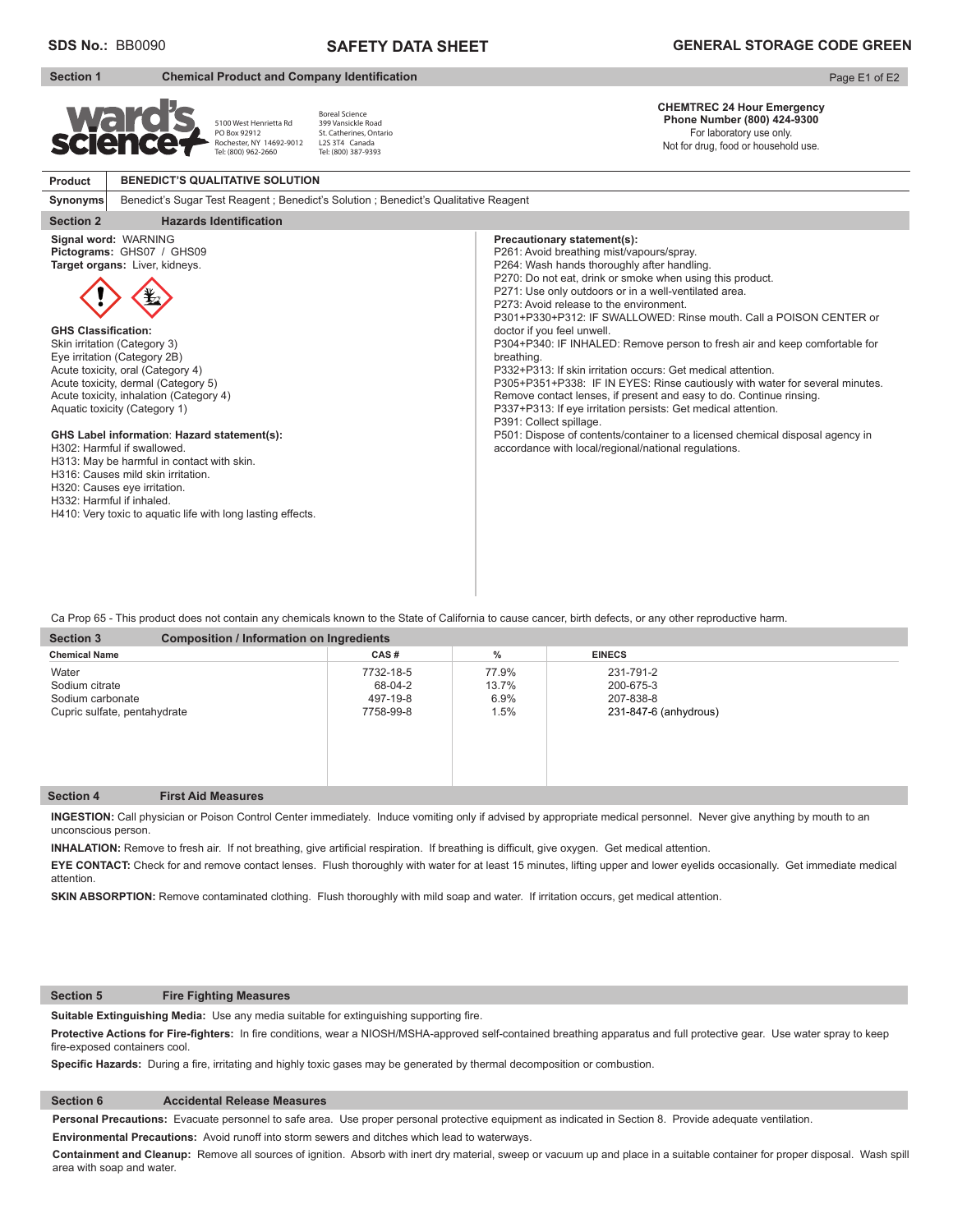**Product**

**Synonyms**

# **SAFETY DATA SHEET**

**Section 1** Chemical Product and Company Identification

#### Page E1 of E2 **CHEMTREC 24 Hour Emergency**  Boreal Science Wali **Phone Number (800) 424-9300**  399 Vansickle Road 5100 West Henrietta Rd PO Box 92912 St. Catherines, Ontario For laboratory use only. L2S 3T4 Canada Rochester, NY 14692-9012 Tel: (800) 962-2660 Not for drug, food or household use. Tel: (800) 387-9393**BENEDICT'S QUALITATIVE SOLUTION** Benedict's Sugar Test Reagent ; Benedict's Solution ; Benedict's Qualitative Reagent **Section 2** Hazards Identification **Signal word:** WARNING **Precautionary statement(s): Pictograms:** GHS07 / GHS09 P261: Avoid breathing mist/vapours/spray. **Target organs:** Liver, kidneys. P264: Wash hands thoroughly after handling. P270: Do not eat, drink or smoke when using this product. P271: Use only outdoors or in a well-ventilated area. P273: Avoid release to the environment. P301+P330+P312: IF SWALLOWED: Rinse mouth. Call a POISON CENTER or **GHS Classification:** doctor if you feel unwell. Skin irritation (Category 3) P304+P340: IF INHALED: Remove person to fresh air and keep comfortable for Eye irritation (Category 2B) breathing. Acute toxicity, oral (Category 4) P332+P313: If skin irritation occurs: Get medical attention. P305+P351+P338: IF IN EYES: Rinse cautiously with water for several minutes. Acute toxicity, dermal (Category 5) Acute toxicity, inhalation (Category 4) Remove contact lenses, if present and easy to do. Continue rinsing. Aquatic toxicity (Category 1) P337+P313: If eye irritation persists: Get medical attention. P391: Collect spillage. **GHS Label information**: **Hazard statement(s):** P501: Dispose of contents/container to a licensed chemical disposal agency in

accordance with local/regional/national regulations.

H313: May be harmful in contact with skin.

H316: Causes mild skin irritation.

H320: Causes eye irritation.

H302: Harmful if swallowed.

H332: Harmful if inhaled.

H410: Very toxic to aquatic life with long lasting effects.

Ca Prop 65 - This product does not contain any chemicals known to the State of California to cause cancer, birth defects, or any other reproductive harm.

| <b>Composition / Information on Ingredients</b><br><b>Section 3</b>         |                                               |                                |                                                              |  |
|-----------------------------------------------------------------------------|-----------------------------------------------|--------------------------------|--------------------------------------------------------------|--|
| <b>Chemical Name</b>                                                        | CAS#                                          | $\%$                           | <b>EINECS</b>                                                |  |
| Water<br>Sodium citrate<br>Sodium carbonate<br>Cupric sulfate, pentahydrate | 7732-18-5<br>68-04-2<br>497-19-8<br>7758-99-8 | 77.9%<br>13.7%<br>6.9%<br>1.5% | 231-791-2<br>200-675-3<br>207-838-8<br>231-847-6 (anhydrous) |  |

## **Section 4 First Aid Measures**

**INGESTION:** Call physician or Poison Control Center immediately. Induce vomiting only if advised by appropriate medical personnel.Never give anything by mouth to an unconscious person.

INHALATION: Remove to fresh air. If not breathing, give artificial respiration. If breathing is difficult, give oxygen. Get medical attention.

**EYE CONTACT:** Check for and remove contact lenses. Flush thoroughly with water for at least 15 minutes, lifting upper and lower eyelids occasionally. Get immediate medical attention.

**SKIN ABSORPTION:** Remove contaminated clothing. Flush thoroughly with mild soap and water. If irritation occurs, get medical attention.

#### **Section 5 Fire Fighting Measures**

Suitable Extinguishing Media: Use any media suitable for extinguishing supporting fire.

Protective Actions for Fire-fighters: In fire conditions, wear a NIOSH/MSHA-approved self-contained breathing apparatus and full protective gear. Use water spray to keep fire-exposed containers cool.

Specific Hazards: During a fire, irritating and highly toxic gases may be generated by thermal decomposition or combustion.

### **Section 6 Accidental Release Measures**

**Personal Precautions:** Evacuate personnel to safe area. Use proper personal protective equipment as indicated in Section 8. Provide adequate ventilation.

**Environmental Precautions:** Avoid runoff into storm sewers and ditches which lead to waterways.

**Containment and Cleanup:** Remove all sources of ignition. Absorb with inert dry material, sweep or vacuum up and place in a suitable container for proper disposal. Wash spill area with soap and water.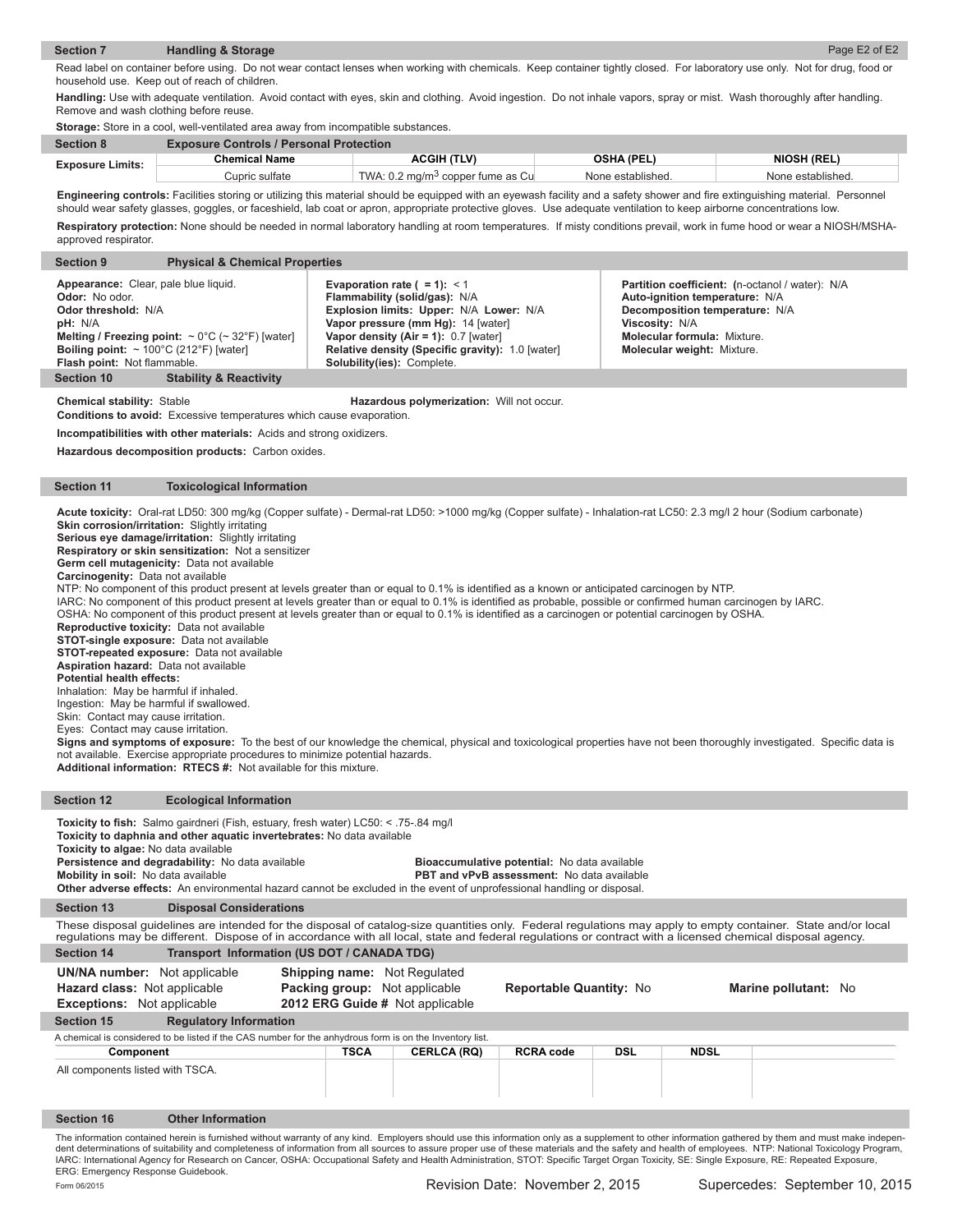#### **Section 7 Handling & Storage**  Page E2 of E2

Read label on container before using. Do not wear contact lenses when working with chemicals. Keep container tightly closed. For laboratory use only. Not for drug, food or household use. Keep out of reach of children.

**Handling:** Use with adequate ventilation. Avoid contact with eyes, skin and clothing. Avoid ingestion. Do not inhale vapors, spray or mist. Wash thoroughly after handling. Remove and wash clothing before reuse.

|                         | <b>Storage:</b> Store in a cool, well-ventilated area away from incompatible substances. |                                              |                   |                    |  |  |
|-------------------------|------------------------------------------------------------------------------------------|----------------------------------------------|-------------------|--------------------|--|--|
| <b>Section 8</b>        | <b>Exposure Controls / Personal Protection</b>                                           |                                              |                   |                    |  |  |
| <b>Exposure Limits:</b> | <b>Chemical Name</b>                                                                     | <b>ACGIH (TLV)</b>                           | <b>OSHA (PEL)</b> | <b>NIOSH (REL)</b> |  |  |
|                         | Cupric sulfate                                                                           | TWA: 0.2 mg/m <sup>3</sup> copper fume as Cu | None established. | None established.  |  |  |

Engineering controls: Facilities storing or utilizing this material should be equipped with an eyewash facility and a safety shower and fire extinguishing material. Personnel should wear safety glasses, goggles, or faceshield, lab coat or apron, appropriate protective gloves. Use adequate ventilation to keep airborne concentrations low. **Respiratory protection:** None should be needed in normal laboratory handling at room temperatures. If misty conditions prevail, work in fume hood or wear a NIOSH/MSHA-

| <b>Section 9</b>                                                                                                                                                                      | <b>Physical &amp; Chemical Properties</b>                                   |                                                                                                                                                                                                                                                                                     |                                                                                                                                                                                                                  |
|---------------------------------------------------------------------------------------------------------------------------------------------------------------------------------------|-----------------------------------------------------------------------------|-------------------------------------------------------------------------------------------------------------------------------------------------------------------------------------------------------------------------------------------------------------------------------------|------------------------------------------------------------------------------------------------------------------------------------------------------------------------------------------------------------------|
| Appearance: Clear, pale blue liquid.<br><b>Odor:</b> No odor.<br>Odor threshold: N/A<br>pH: N/A<br>Boiling point: $\sim 100^{\circ}$ C (212°F) [water]<br>Flash point: Not flammable. | Melting / Freezing point: $\sim 0^{\circ}$ C ( $\sim 32^{\circ}$ F) [water] | Evaporation rate $( = 1): < 1$<br>Flammability (solid/gas): N/A<br>Explosion limits: Upper: N/A Lower: N/A<br>Vapor pressure (mm Hg): 14 [water]<br>Vapor density (Air = 1): $0.7$ [water]<br>Relative density (Specific gravity): 1.0 [water]<br><b>Solubility(ies): Complete.</b> | Partition coefficient: (n-octanol / water): N/A<br>Auto-ignition temperature: N/A<br>Decomposition temperature: N/A<br>Viscosity: N/A<br><b>Molecular formula: Mixture.</b><br><b>Molecular weight: Mixture.</b> |
| <b>Section 10</b>                                                                                                                                                                     | <b>Stability &amp; Reactivity</b>                                           |                                                                                                                                                                                                                                                                                     |                                                                                                                                                                                                                  |

approved respirator.

**Chemical stability:** Stable **Hazardous polymerization:** Will not occur.

**Conditions to avoid:** Excessive temperatures which cause evaporation.

**Incompatibilities with other materials:** Acids and strong oxidizers.

**Hazardous decomposition products:** Carbon oxides.

#### **Section 11 Toxicological Information**

**Acute toxicity:** Oral-rat LD50: 300 mg/kg (Copper sulfate) - Dermal-rat LD50: >1000 mg/kg (Copper sulfate) - Inhalation-rat LC50: 2.3 mg/l 2 hour (Sodium carbonate) **Skin corrosion/irritation:** Slightly irritating

**Serious eye damage/irritation:** Slightly irritating

**Respiratory or skin sensitization:** Not a sensitizer

**Germ cell mutagenicity:** Data not available

**Carcinogenity:** Data not available

NTP: No component of this product present at levels greater than or equal to 0.1% is identified as a known or anticipated carcinogen by NTP.

IARC: No component of this product present at levels greater than or equal to 0.1% is identified as probable, possible or confirmed human carcinogen by IARC.

OSHA: No component of this product present at levels greater than or equal to 0.1% is identified as a carcinogen or potential carcinogen by OSHA.

**Reproductive toxicity:** Data not available

**STOT-single exposure:** Data not available

**STOT-repeated exposure:** Data not available **Aspiration hazard:** Data not available

**Potential health effects:** 

Inhalation: May be harmful if inhaled.

Ingestion: May be harmful if swallowed.

Skin: Contact may cause irritation.

Eyes: Contact may cause irritation.

Signs and symptoms of exposure: To the best of our knowledge the chemical, physical and toxicological properties have not been thoroughly investigated. Specific data is not available. Exercise appropriate procedures to minimize potential hazards.

**Additional information: RTECS #:** Not available for this mixture.

### **Section 12 Ecological Information**

Toxicity to fish: Salmo gairdneri (Fish, estuary, fresh water) LC50: < .75-.84 mg/l **Toxicity to daphnia and other aquatic invertebrates:** No data available **Toxicity to algae:** No data available

**Persistence and degradability:** No data available **Bioaccumulative potential:** No data available **Mobility** in soil: No data available **Mobility** in soil: No data available

**PBT and vPvB assessment:** No data available **Other adverse effects:** An environmental hazard cannot be excluded in the event of unprofessional handling or disposal.

**Section 13 Disposal Considerations**

Section 14 **Transport Information (US DOT / CANADA TDG)** These disposal guidelines are intended for the disposal of catalog-size quantities only. Federal regulations may apply to empty container. State and/or local<br>regulations may be different. Dispose of in accordance with al

| <b>UN/NA number:</b> Not applicable | <b>Shipping name:</b> Not Regulated  |                                |                      |  |
|-------------------------------------|--------------------------------------|--------------------------------|----------------------|--|
| <b>Hazard class: Not applicable</b> | <b>Packing group:</b> Not applicable | <b>Reportable Quantity: No</b> | Marine pollutant: No |  |

**Exceptions:** Not applicable **2012 ERG Guide #** Not applicable

|                                  |                                                                                                          |             | _________________  |                  |            |             |  |
|----------------------------------|----------------------------------------------------------------------------------------------------------|-------------|--------------------|------------------|------------|-------------|--|
| Section 15                       | <b>Regulatory Information</b>                                                                            |             |                    |                  |            |             |  |
|                                  | A chemical is considered to be listed if the CAS number for the anhydrous form is on the Inventory list. |             |                    |                  |            |             |  |
| Component                        |                                                                                                          | <b>TSCA</b> | <b>CERLCA (RQ)</b> | <b>RCRA code</b> | <b>DSL</b> | <b>NDSL</b> |  |
| All components listed with TSCA. |                                                                                                          |             |                    |                  |            |             |  |
| <b>Section 16</b>                | <b>Other Information</b>                                                                                 |             |                    |                  |            |             |  |

The information contained herein is furnished without warranty of any kind. Employers should use this information only as a supplement to other information gathered by them and must make independent determinations of suitability and completeness of information from all sources to assure proper use of these materials and the safety and health of employees. NTP: National Toxicology Program, IARC: International Agency for Research on Cancer, OSHA: Occupational Safety and Health Administration, STOT: Specific Target Organ Toxicity, SE: Single Exposure, RE: Repeated Exposure ERG: Emergency Response Guidebook. Form 06/2015 Revision Date: November 2, 2015 Supercedes: September 10, 2015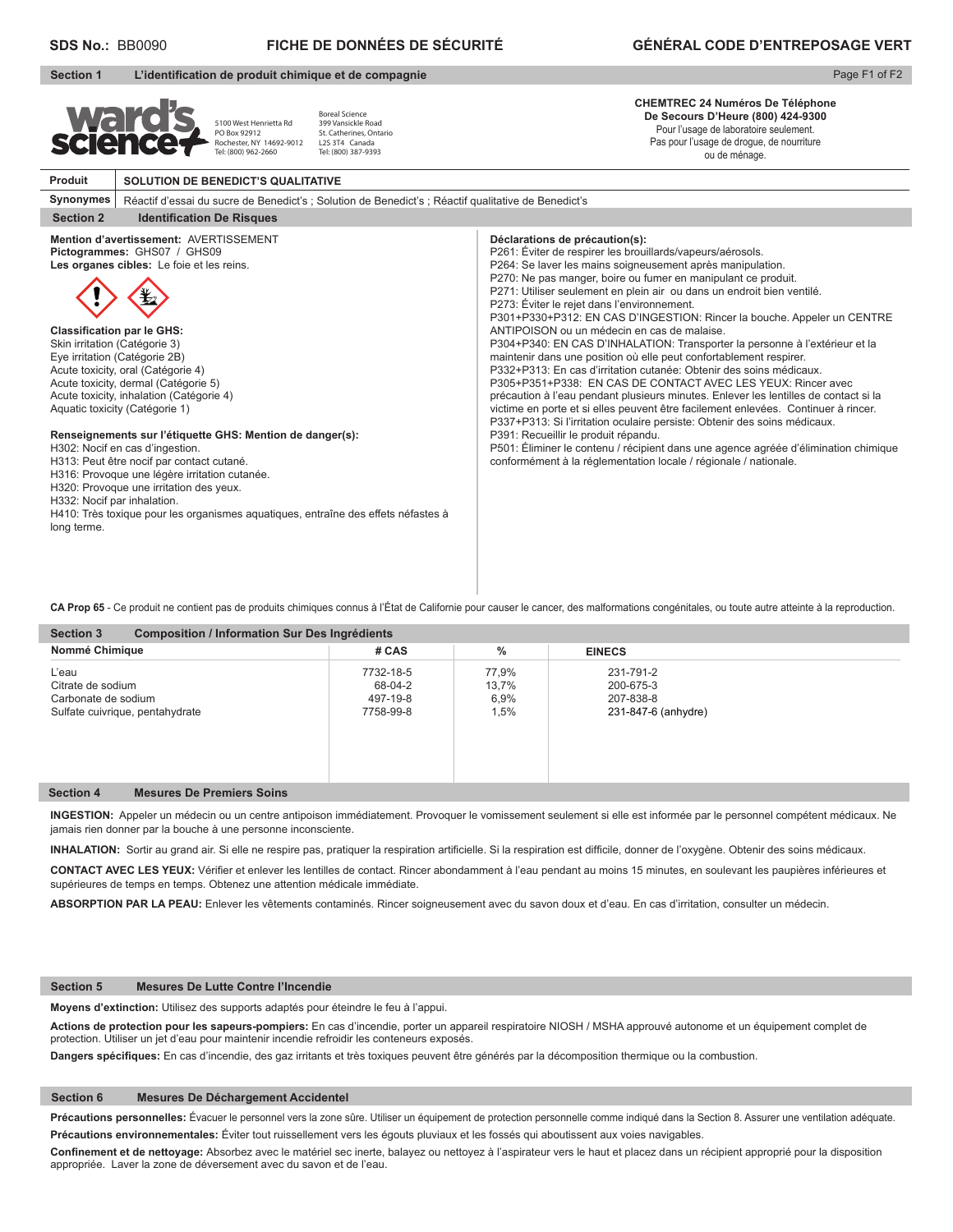|                                                                                                                                                                                                                                                                                                     |                                                                                                                                                                                                                                                                                                                                                                                                                                                                                  | <b>GÉNÉRAL CODE D'ENTREPOSAGE VERT</b>                                                                                                                                                                                                                                                                                                                                                                                                                                                                                                                                                                                                                                                                                                                                                                                                                                                                                                                                                                                                                                                                                                                                                                                                   |
|-----------------------------------------------------------------------------------------------------------------------------------------------------------------------------------------------------------------------------------------------------------------------------------------------------|----------------------------------------------------------------------------------------------------------------------------------------------------------------------------------------------------------------------------------------------------------------------------------------------------------------------------------------------------------------------------------------------------------------------------------------------------------------------------------|------------------------------------------------------------------------------------------------------------------------------------------------------------------------------------------------------------------------------------------------------------------------------------------------------------------------------------------------------------------------------------------------------------------------------------------------------------------------------------------------------------------------------------------------------------------------------------------------------------------------------------------------------------------------------------------------------------------------------------------------------------------------------------------------------------------------------------------------------------------------------------------------------------------------------------------------------------------------------------------------------------------------------------------------------------------------------------------------------------------------------------------------------------------------------------------------------------------------------------------|
|                                                                                                                                                                                                                                                                                                     |                                                                                                                                                                                                                                                                                                                                                                                                                                                                                  | Page F1 of F2                                                                                                                                                                                                                                                                                                                                                                                                                                                                                                                                                                                                                                                                                                                                                                                                                                                                                                                                                                                                                                                                                                                                                                                                                            |
|                                                                                                                                                                                                                                                                                                     | <b>Boreal Science</b><br>399 Vansickle Road<br>St. Catherines, Ontario<br>L2S 3T4 Canada<br>Tel: (800) 387-9393                                                                                                                                                                                                                                                                                                                                                                  | <b>CHEMTREC 24 Numéros De Téléphone</b><br>De Secours D'Heure (800) 424-9300<br>Pour l'usage de laboratoire seulement.<br>Pas pour l'usage de drogue, de nourriture<br>ou de ménage.                                                                                                                                                                                                                                                                                                                                                                                                                                                                                                                                                                                                                                                                                                                                                                                                                                                                                                                                                                                                                                                     |
|                                                                                                                                                                                                                                                                                                     |                                                                                                                                                                                                                                                                                                                                                                                                                                                                                  |                                                                                                                                                                                                                                                                                                                                                                                                                                                                                                                                                                                                                                                                                                                                                                                                                                                                                                                                                                                                                                                                                                                                                                                                                                          |
|                                                                                                                                                                                                                                                                                                     |                                                                                                                                                                                                                                                                                                                                                                                                                                                                                  |                                                                                                                                                                                                                                                                                                                                                                                                                                                                                                                                                                                                                                                                                                                                                                                                                                                                                                                                                                                                                                                                                                                                                                                                                                          |
|                                                                                                                                                                                                                                                                                                     |                                                                                                                                                                                                                                                                                                                                                                                                                                                                                  |                                                                                                                                                                                                                                                                                                                                                                                                                                                                                                                                                                                                                                                                                                                                                                                                                                                                                                                                                                                                                                                                                                                                                                                                                                          |
|                                                                                                                                                                                                                                                                                                     |                                                                                                                                                                                                                                                                                                                                                                                                                                                                                  | Déclarations de précaution(s):<br>P261: Éviter de respirer les brouillards/vapeurs/aérosols.<br>P264: Se laver les mains soigneusement après manipulation.<br>P270: Ne pas manger, boire ou fumer en manipulant ce produit.<br>P271: Utiliser seulement en plein air ou dans un endroit bien ventilé.<br>P273: Éviter le rejet dans l'environnement.<br>P301+P330+P312: EN CAS D'INGESTION: Rincer la bouche. Appeler un CENTRE<br>ANTIPOISON ou un médecin en cas de malaise.<br>P304+P340: EN CAS D'INHALATION: Transporter la personne à l'extérieur et la<br>maintenir dans une position où elle peut confortablement respirer.<br>P332+P313: En cas d'irritation cutanée: Obtenir des soins médicaux.<br>P305+P351+P338: EN CAS DE CONTACT AVEC LES YEUX: Rincer avec<br>précaution à l'eau pendant plusieurs minutes. Enlever les lentilles de contact si la<br>victime en porte et si elles peuvent être facilement enlevées. Continuer à rincer.<br>P337+P313: Si l'irritation oculaire persiste: Obtenir des soins médicaux.<br>P391: Recueillir le produit répandu.<br>P501: Éliminer le contenu / récipient dans une agence agréée d'élimination chimique<br>conformément à la réglementation locale / régionale / nationale. |
| <b>SDS No.: BB0090</b><br><b>Ward</b><br>Synonymes<br><b>Classification par le GHS:</b><br>Skin irritation (Catégorie 3)<br>Eye irritation (Catégorie 2B)<br>Acute toxicity, oral (Catégorie 4)<br>Aquatic toxicity (Catégorie 1)<br>H302: Nocif en cas d'ingestion.<br>H332: Nocif par inhalation. | 5100 West Henrietta Rd<br>PO Box 92912<br>Rochester, NY 14692-9012<br>Tel: (800) 962-2660<br><b>Identification De Risques</b><br>Mention d'avertissement: AVERTISSEMENT<br>Pictogrammes: GHS07 / GHS09<br>Les organes cibles: Le foie et les reins.<br>Acute toxicity, dermal (Catégorie 5)<br>Acute toxicity, inhalation (Catégorie 4)<br>H313: Peut être nocif par contact cutané.<br>H316: Provoque une légère irritation cutanée.<br>H320: Provoque une irritation des yeux. | FICHE DE DONNÉES DE SÉCURITÉ<br>L'identification de produit chimique et de compagnie<br><b>SOLUTION DE BENEDICT'S QUALITATIVE</b><br>Réactif d'essai du sucre de Benedict's ; Solution de Benedict's ; Réactif qualitative de Benedict's<br>Renseignements sur l'étiquette GHS: Mention de danger(s):<br>H410: Très toxique pour les organismes aquatiques, entraîne des effets néfastes à                                                                                                                                                                                                                                                                                                                                                                                                                                                                                                                                                                                                                                                                                                                                                                                                                                               |

**FICHE DE DONNÉES DE SÉCURITÉ**

CA Prop 65 - Ce produit ne contient pas de produits chimiques connus à l'État de Californie pour causer le cancer, des malformations congénitales, ou toute autre atteinte à la reproduction.

| Nommé Chimique                  | # CAS     | $\%$  | <b>EINECS</b>       |  |
|---------------------------------|-----------|-------|---------------------|--|
| L'eau                           | 7732-18-5 | 77.9% | 231-791-2           |  |
| Citrate de sodium               | 68-04-2   | 13.7% | 200-675-3           |  |
| Carbonate de sodium             | 497-19-8  | 6.9%  | 207-838-8           |  |
| Sulfate cuivrique, pentahydrate | 7758-99-8 | 1,5%  | 231-847-6 (anhydre) |  |

#### **Section 4 Mesures De Premiers Soins**

**INGESTION:** Appeler un médecin ou un centre antipoison immédiatement. Provoquer le vomissement seulement si elle est informée par le personnel compétent médicaux. Ne jamais rien donner par la bouche à une personne inconsciente.

INHALATION: Sortir au grand air. Si elle ne respire pas, pratiquer la respiration artificielle. Si la respiration est difficile, donner de l'oxygène. Obtenir des soins médicaux.

CONTACT AVEC LES YEUX: Vérifier et enlever les lentilles de contact. Rincer abondamment à l'eau pendant au moins 15 minutes, en soulevant les paupières inférieures et supérieures de temps en temps. Obtenez une attention médicale immédiate.

**ABSORPTION PAR LA PEAU:** Enlever les vêtements contaminés. Rincer soigneusement avec du savon doux et d'eau. En cas d'irritation, consulter un médecin.

#### **Section 5 Mesures De Lutte Contre l'Incendie**

**Moyens d'extinction:** Utilisez des supports adaptés pour éteindre le feu à l'appui.

**Actions de protection pour les sapeurs-pompiers:** En cas d'incendie, porter un appareil respiratoire NIOSH / MSHA approuvé autonome et un équipement complet de protection. Utiliser un jet d'eau pour maintenir incendie refroidir les conteneurs exposés.

Dangers spécifiques: En cas d'incendie, des gaz irritants et très toxiques peuvent être générés par la décomposition thermique ou la combustion.

#### **Section 6 Mesures De Déchargement Accidentel**

Précautions personnelles: Évacuer le personnel vers la zone sûre. Utiliser un équipement de protection personnelle comme indiqué dans la Section 8. Assurer une ventilation adéquate. **Précautions environnementales:** Éviter tout ruissellement vers les égouts pluviaux et les fossés qui aboutissent aux voies navigables.

Confinement et de nettoyage: Absorbez avec le matériel sec inerte, balayez ou nettoyez à l'aspirateur vers le haut et placez dans un récipient approprié pour la disposition appropriée. Laver la zone de déversement avec du savon et de l'eau.